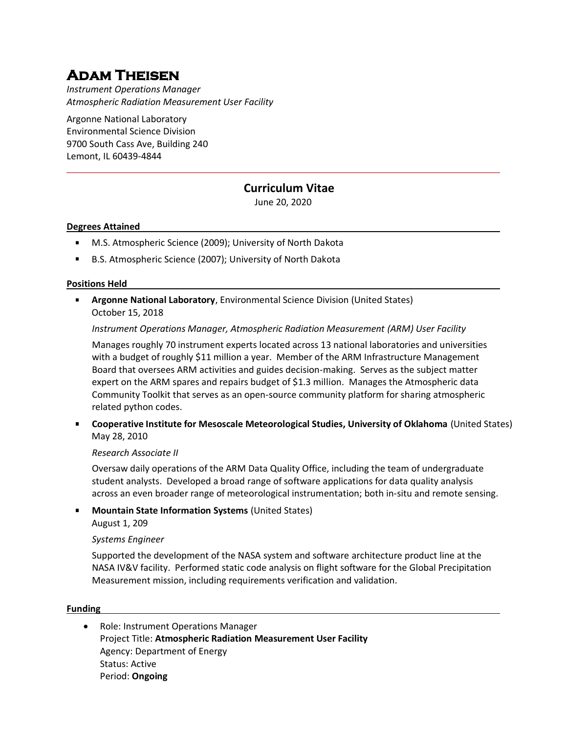# **Adam Theisen**

*Instrument Operations Manager Atmospheric Radiation Measurement User Facility*

Argonne National Laboratory Environmental Science Division 9700 South Cass Ave, Building 240 Lemont, IL 60439-4844

# **Curriculum Vitae**

June 20, 2020

### **Degrees Attained**

- $\mathbf{r}$ M.S. Atmospheric Science (2009); University of North Dakota
- B.S. Atmospheric Science (2007); University of North Dakota

#### **Positions Held**

**Argonne National Laboratory**, Environmental Science Division (United States) October 15, 2018

*Instrument Operations Manager, Atmospheric Radiation Measurement (ARM) User Facility*

Manages roughly 70 instrument experts located across 13 national laboratories and universities with a budget of roughly \$11 million a year. Member of the ARM Infrastructure Management Board that oversees ARM activities and guides decision-making. Serves as the subject matter expert on the ARM spares and repairs budget of \$1.3 million. Manages the Atmospheric data Community Toolkit that serves as an open-source community platform for sharing atmospheric related python codes.

**Cooperative Institute for Mesoscale Meteorological Studies, University of Oklahoma** (United States) May 28, 2010

## *Research Associate II*

Oversaw daily operations of the ARM Data Quality Office, including the team of undergraduate student analysts. Developed a broad range of software applications for data quality analysis across an even broader range of meteorological instrumentation; both in-situ and remote sensing.

**Mountain State Information Systems** (United States) August 1, 209

#### *Systems Engineer*

Supported the development of the NASA system and software architecture product line at the NASA IV&V facility. Performed static code analysis on flight software for the Global Precipitation Measurement mission, including requirements verification and validation.

#### **Funding**

• Role: Instrument Operations Manager Project Title: **Atmospheric Radiation Measurement User Facility** Agency: Department of Energy Status: Active Period: **Ongoing**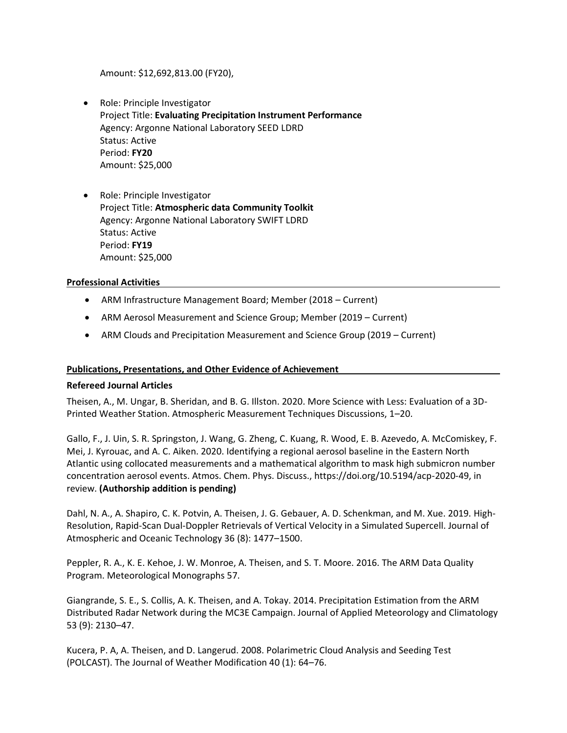Amount: \$12,692,813.00 (FY20),

- Role: Principle Investigator Project Title: **Evaluating Precipitation Instrument Performance** Agency: Argonne National Laboratory SEED LDRD Status: Active Period: **FY20** Amount: \$25,000
- Role: Principle Investigator Project Title: **Atmospheric data Community Toolkit** Agency: Argonne National Laboratory SWIFT LDRD Status: Active Period: **FY19** Amount: \$25,000

#### **Professional Activities**

- ARM Infrastructure Management Board; Member (2018 Current)
- ARM Aerosol Measurement and Science Group; Member (2019 Current)
- ARM Clouds and Precipitation Measurement and Science Group (2019 Current)

#### **Publications, Presentations, and Other Evidence of Achievement**

#### **Refereed Journal Articles**

Theisen, A., M. Ungar, B. Sheridan, and B. G. Illston. 2020. More Science with Less: Evaluation of a 3D-Printed Weather Station. Atmospheric Measurement Techniques Discussions, 1–20.

Gallo, F., J. Uin, S. R. Springston, J. Wang, G. Zheng, C. Kuang, R. Wood, E. B. Azevedo, A. McComiskey, F. Mei, J. Kyrouac, and A. C. Aiken. 2020. Identifying a regional aerosol baseline in the Eastern North Atlantic using collocated measurements and a mathematical algorithm to mask high submicron number concentration aerosol events. Atmos. Chem. Phys. Discuss., https://doi.org/10.5194/acp-2020-49, in review. **(Authorship addition is pending)**

Dahl, N. A., A. Shapiro, C. K. Potvin, A. Theisen, J. G. Gebauer, A. D. Schenkman, and M. Xue. 2019. High-Resolution, Rapid-Scan Dual-Doppler Retrievals of Vertical Velocity in a Simulated Supercell. Journal of Atmospheric and Oceanic Technology 36 (8): 1477–1500.

Peppler, R. A., K. E. Kehoe, J. W. Monroe, A. Theisen, and S. T. Moore. 2016. The ARM Data Quality Program. Meteorological Monographs 57.

Giangrande, S. E., S. Collis, A. K. Theisen, and A. Tokay. 2014. Precipitation Estimation from the ARM Distributed Radar Network during the MC3E Campaign. Journal of Applied Meteorology and Climatology 53 (9): 2130–47.

Kucera, P. A, A. Theisen, and D. Langerud. 2008. Polarimetric Cloud Analysis and Seeding Test (POLCAST). The Journal of Weather Modification 40 (1): 64–76.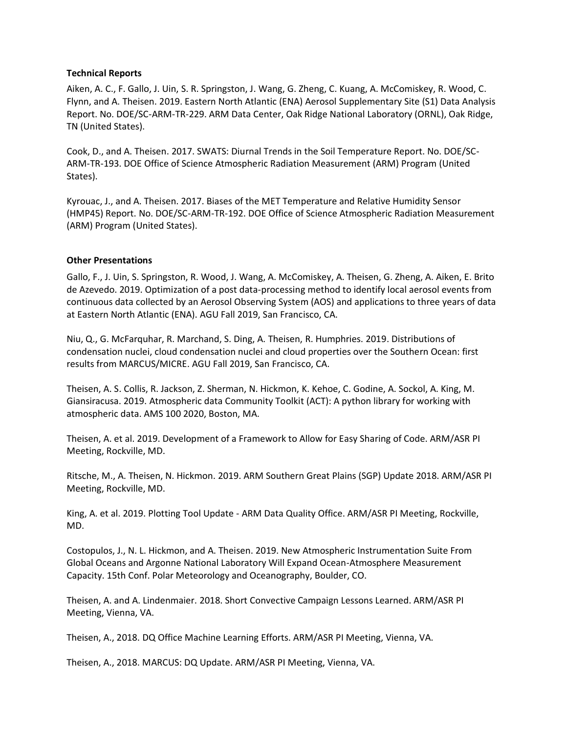#### **Technical Reports**

Aiken, A. C., F. Gallo, J. Uin, S. R. Springston, J. Wang, G. Zheng, C. Kuang, A. McComiskey, R. Wood, C. Flynn, and A. Theisen. 2019. Eastern North Atlantic (ENA) Aerosol Supplementary Site (S1) Data Analysis Report. No. DOE/SC-ARM-TR-229. ARM Data Center, Oak Ridge National Laboratory (ORNL), Oak Ridge, TN (United States).

Cook, D., and A. Theisen. 2017. SWATS: Diurnal Trends in the Soil Temperature Report. No. DOE/SC-ARM-TR-193. DOE Office of Science Atmospheric Radiation Measurement (ARM) Program (United States).

Kyrouac, J., and A. Theisen. 2017. Biases of the MET Temperature and Relative Humidity Sensor (HMP45) Report. No. DOE/SC-ARM-TR-192. DOE Office of Science Atmospheric Radiation Measurement (ARM) Program (United States).

#### **Other Presentations**

Gallo, F., J. Uin, S. Springston, R. Wood, J. Wang, A. McComiskey, A. Theisen, G. Zheng, A. Aiken, E. Brito de Azevedo. 2019. Optimization of a post data-processing method to identify local aerosol events from continuous data collected by an Aerosol Observing System (AOS) and applications to three years of data at Eastern North Atlantic (ENA). AGU Fall 2019, San Francisco, CA.

Niu, Q., G. McFarquhar, R. Marchand, S. Ding, A. Theisen, R. Humphries. 2019. Distributions of condensation nuclei, cloud condensation nuclei and cloud properties over the Southern Ocean: first results from MARCUS/MICRE. AGU Fall 2019, San Francisco, CA.

Theisen, A. S. Collis, R. Jackson, Z. Sherman, N. Hickmon, K. Kehoe, C. Godine, A. Sockol, A. King, M. Giansiracusa. 2019. Atmospheric data Community Toolkit (ACT): A python library for working with atmospheric data. AMS 100 2020, Boston, MA.

Theisen, A. et al. 2019. Development of a Framework to Allow for Easy Sharing of Code. ARM/ASR PI Meeting, Rockville, MD.

Ritsche, M., A. Theisen, N. Hickmon. 2019. ARM Southern Great Plains (SGP) Update 2018. ARM/ASR PI Meeting, Rockville, MD.

King, A. et al. 2019. Plotting Tool Update - ARM Data Quality Office. ARM/ASR PI Meeting, Rockville, MD.

Costopulos, J., N. L. Hickmon, and A. Theisen. 2019. New Atmospheric Instrumentation Suite From Global Oceans and Argonne National Laboratory Will Expand Ocean-Atmosphere Measurement Capacity. 15th Conf. Polar Meteorology and Oceanography, Boulder, CO.

Theisen, A. and A. Lindenmaier. 2018. Short Convective Campaign Lessons Learned. ARM/ASR PI Meeting, Vienna, VA.

Theisen, A., 2018. DQ Office Machine Learning Efforts. ARM/ASR PI Meeting, Vienna, VA.

Theisen, A., 2018. MARCUS: DQ Update. ARM/ASR PI Meeting, Vienna, VA.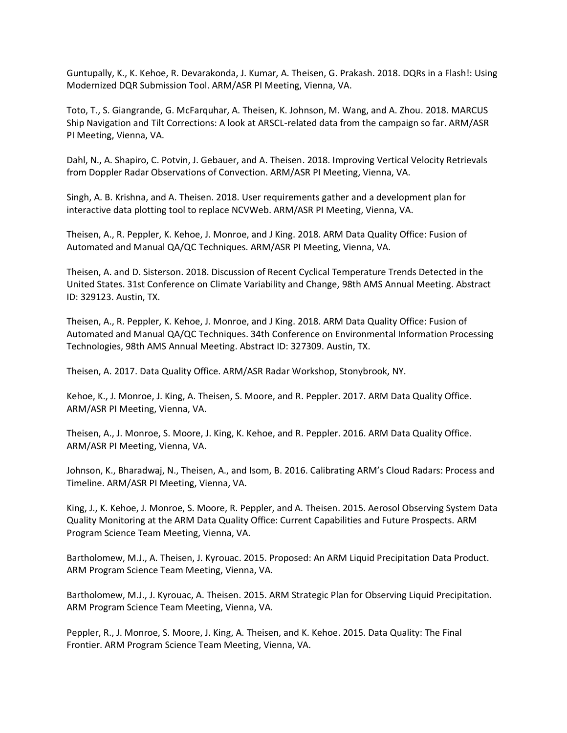Guntupally, K., K. Kehoe, R. Devarakonda, J. Kumar, A. Theisen, G. Prakash. 2018. DQRs in a Flash!: Using Modernized DQR Submission Tool. ARM/ASR PI Meeting, Vienna, VA.

Toto, T., S. Giangrande, G. McFarquhar, A. Theisen, K. Johnson, M. Wang, and A. Zhou. 2018. MARCUS Ship Navigation and Tilt Corrections: A look at ARSCL-related data from the campaign so far. ARM/ASR PI Meeting, Vienna, VA.

Dahl, N., A. Shapiro, C. Potvin, J. Gebauer, and A. Theisen. 2018. Improving Vertical Velocity Retrievals from Doppler Radar Observations of Convection. ARM/ASR PI Meeting, Vienna, VA.

Singh, A. B. Krishna, and A. Theisen. 2018. User requirements gather and a development plan for interactive data plotting tool to replace NCVWeb. ARM/ASR PI Meeting, Vienna, VA.

Theisen, A., R. Peppler, K. Kehoe, J. Monroe, and J King. 2018. ARM Data Quality Office: Fusion of Automated and Manual QA/QC Techniques. ARM/ASR PI Meeting, Vienna, VA.

Theisen, A. and D. Sisterson. 2018. Discussion of Recent Cyclical Temperature Trends Detected in the United States. 31st Conference on Climate Variability and Change, 98th AMS Annual Meeting. Abstract ID: 329123. Austin, TX.

Theisen, A., R. Peppler, K. Kehoe, J. Monroe, and J King. 2018. ARM Data Quality Office: Fusion of Automated and Manual QA/QC Techniques. 34th Conference on Environmental Information Processing Technologies, 98th AMS Annual Meeting. Abstract ID: 327309. Austin, TX.

Theisen, A. 2017. Data Quality Office. ARM/ASR Radar Workshop, Stonybrook, NY.

Kehoe, K., J. Monroe, J. King, A. Theisen, S. Moore, and R. Peppler. 2017. ARM Data Quality Office. ARM/ASR PI Meeting, Vienna, VA.

Theisen, A., J. Monroe, S. Moore, J. King, K. Kehoe, and R. Peppler. 2016. ARM Data Quality Office. ARM/ASR PI Meeting, Vienna, VA.

Johnson, K., Bharadwaj, N., Theisen, A., and Isom, B. 2016. Calibrating ARM's Cloud Radars: Process and Timeline. ARM/ASR PI Meeting, Vienna, VA.

King, J., K. Kehoe, J. Monroe, S. Moore, R. Peppler, and A. Theisen. 2015. Aerosol Observing System Data Quality Monitoring at the ARM Data Quality Office: Current Capabilities and Future Prospects. ARM Program Science Team Meeting, Vienna, VA.

Bartholomew, M.J., A. Theisen, J. Kyrouac. 2015. Proposed: An ARM Liquid Precipitation Data Product. ARM Program Science Team Meeting, Vienna, VA.

Bartholomew, M.J., J. Kyrouac, A. Theisen. 2015. ARM Strategic Plan for Observing Liquid Precipitation. ARM Program Science Team Meeting, Vienna, VA.

Peppler, R., J. Monroe, S. Moore, J. King, A. Theisen, and K. Kehoe. 2015. Data Quality: The Final Frontier. ARM Program Science Team Meeting, Vienna, VA.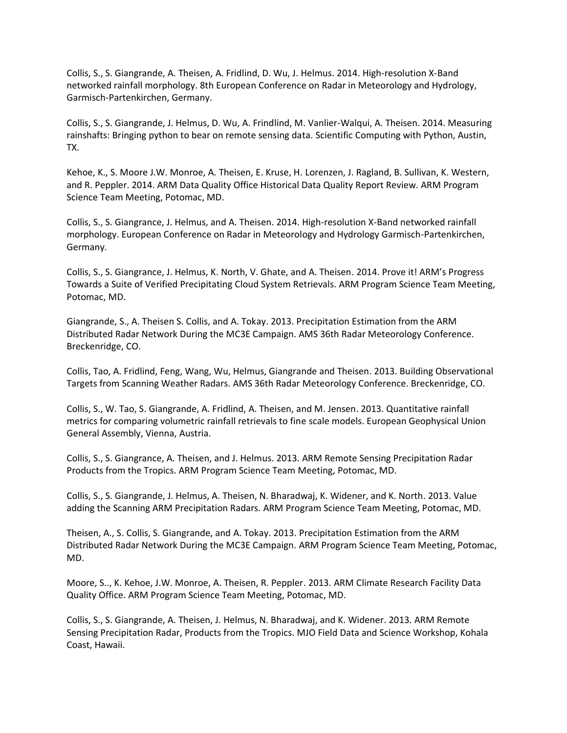Collis, S., S. Giangrande, A. Theisen, A. Fridlind, D. Wu, J. Helmus. 2014. High-resolution X-Band networked rainfall morphology. 8th European Conference on Radar in Meteorology and Hydrology, Garmisch-Partenkirchen, Germany.

Collis, S., S. Giangrande, J. Helmus, D. Wu, A. Frindlind, M. Vanlier-Walqui, A. Theisen. 2014. Measuring rainshafts: Bringing python to bear on remote sensing data. Scientific Computing with Python, Austin, TX.

Kehoe, K., S. Moore J.W. Monroe, A. Theisen, E. Kruse, H. Lorenzen, J. Ragland, B. Sullivan, K. Western, and R. Peppler. 2014. ARM Data Quality Office Historical Data Quality Report Review. ARM Program Science Team Meeting, Potomac, MD.

Collis, S., S. Giangrance, J. Helmus, and A. Theisen. 2014. High-resolution X-Band networked rainfall morphology. European Conference on Radar in Meteorology and Hydrology Garmisch-Partenkirchen, Germany.

Collis, S., S. Giangrance, J. Helmus, K. North, V. Ghate, and A. Theisen. 2014. Prove it! ARM's Progress Towards a Suite of Verified Precipitating Cloud System Retrievals. ARM Program Science Team Meeting, Potomac, MD.

Giangrande, S., A. Theisen S. Collis, and A. Tokay. 2013. Precipitation Estimation from the ARM Distributed Radar Network During the MC3E Campaign. AMS 36th Radar Meteorology Conference. Breckenridge, CO.

Collis, Tao, A. Fridlind, Feng, Wang, Wu, Helmus, Giangrande and Theisen. 2013. Building Observational Targets from Scanning Weather Radars. AMS 36th Radar Meteorology Conference. Breckenridge, CO.

Collis, S., W. Tao, S. Giangrande, A. Fridlind, A. Theisen, and M. Jensen. 2013. Quantitative rainfall metrics for comparing volumetric rainfall retrievals to fine scale models. European Geophysical Union General Assembly, Vienna, Austria.

Collis, S., S. Giangrance, A. Theisen, and J. Helmus. 2013. ARM Remote Sensing Precipitation Radar Products from the Tropics. ARM Program Science Team Meeting, Potomac, MD.

Collis, S., S. Giangrande, J. Helmus, A. Theisen, N. Bharadwaj, K. Widener, and K. North. 2013. Value adding the Scanning ARM Precipitation Radars. ARM Program Science Team Meeting, Potomac, MD.

Theisen, A., S. Collis, S. Giangrande, and A. Tokay. 2013. Precipitation Estimation from the ARM Distributed Radar Network During the MC3E Campaign. ARM Program Science Team Meeting, Potomac, MD.

Moore, S.., K. Kehoe, J.W. Monroe, A. Theisen, R. Peppler. 2013. ARM Climate Research Facility Data Quality Office. ARM Program Science Team Meeting, Potomac, MD.

Collis, S., S. Giangrande, A. Theisen, J. Helmus, N. Bharadwaj, and K. Widener. 2013. ARM Remote Sensing Precipitation Radar, Products from the Tropics. MJO Field Data and Science Workshop, Kohala Coast, Hawaii.